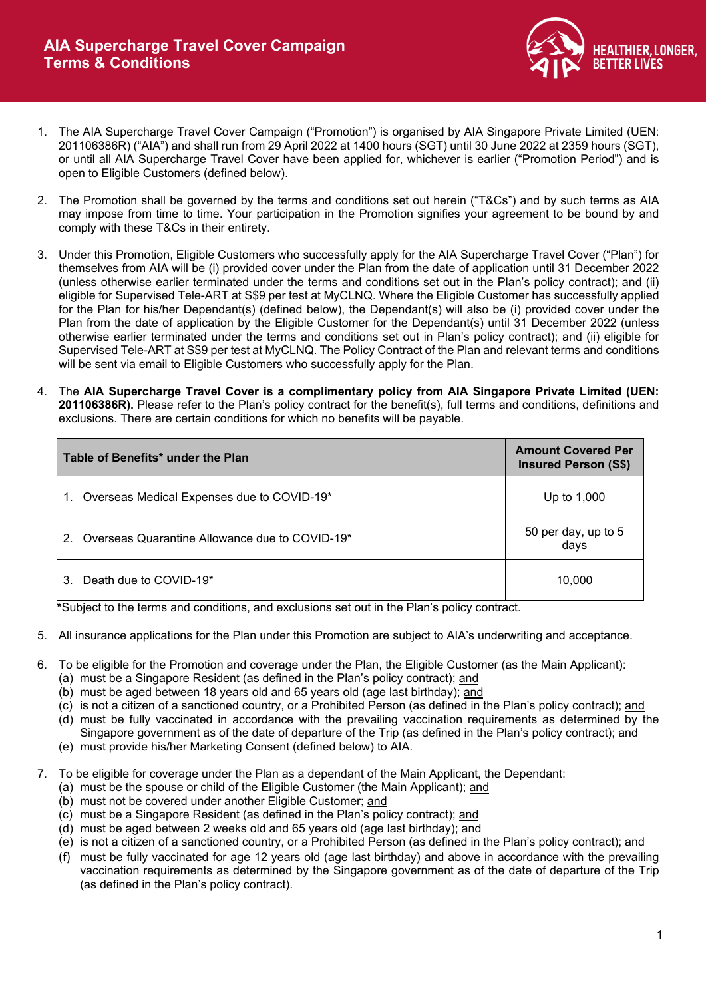

- 1. The AIA Supercharge Travel Cover Campaign ("Promotion") is organised by AIA Singapore Private Limited (UEN: 201106386R) ("AIA") and shall run from 29 April 2022 at 1400 hours (SGT) until 30 June 2022 at 2359 hours (SGT), or until all AIA Supercharge Travel Cover have been applied for, whichever is earlier ("Promotion Period") and is open to Eligible Customers (defined below).
- 2. The Promotion shall be governed by the terms and conditions set out herein ("T&Cs") and by such terms as AIA may impose from time to time. Your participation in the Promotion signifies your agreement to be bound by and comply with these T&Cs in their entirety.
- 3. Under this Promotion, Eligible Customers who successfully apply for the AIA Supercharge Travel Cover ("Plan") for themselves from AIA will be (i) provided cover under the Plan from the date of application until 31 December 2022 (unless otherwise earlier terminated under the terms and conditions set out in the Plan's policy contract); and (ii) eligible for Supervised Tele-ART at S\$9 per test at MyCLNQ. Where the Eligible Customer has successfully applied for the Plan for his/her Dependant(s) (defined below), the Dependant(s) will also be (i) provided cover under the Plan from the date of application by the Eligible Customer for the Dependant(s) until 31 December 2022 (unless otherwise earlier terminated under the terms and conditions set out in Plan's policy contract); and (ii) eligible for Supervised Tele-ART at S\$9 per test at MyCLNQ. The Policy Contract of the Plan and relevant terms and conditions will be sent via email to Eligible Customers who successfully apply for the Plan.
- 4. The **AIA Supercharge Travel Cover is a complimentary policy from AIA Singapore Private Limited (UEN: 201106386R).** Please refer to the Plan's policy contract for the benefit(s), full terms and conditions, definitions and exclusions. There are certain conditions for which no benefits will be payable.

| Table of Benefits* under the Plan                                | <b>Amount Covered Per</b><br><b>Insured Person (S\$)</b> |
|------------------------------------------------------------------|----------------------------------------------------------|
| Overseas Medical Expenses due to COVID-19*                       | Up to 1,000                                              |
| Overseas Quarantine Allowance due to COVID-19*<br>2 <sub>1</sub> | 50 per day, up to 5<br>days                              |
| Death due to COVID-19*<br>3.                                     | 10,000                                                   |

**\***Subject to the terms and conditions, and exclusions set out in the Plan's policy contract.

- 5. All insurance applications for the Plan under this Promotion are subject to AIA's underwriting and acceptance.
- 6. To be eligible for the Promotion and coverage under the Plan, the Eligible Customer (as the Main Applicant):
	- (a) must be a Singapore Resident (as defined in the Plan's policy contract); and
	- (b) must be aged between 18 years old and 65 years old (age last birthday); and
	- (c) is not a citizen of a sanctioned country, or a Prohibited Person (as defined in the Plan's policy contract); and
	- (d) must be fully vaccinated in accordance with the prevailing vaccination requirements as determined by the Singapore government as of the date of departure of the Trip (as defined in the Plan's policy contract); and
	- (e) must provide his/her Marketing Consent (defined below) to AIA.
- 7. To be eligible for coverage under the Plan as a dependant of the Main Applicant, the Dependant:
	- (a) must be the spouse or child of the Eligible Customer (the Main Applicant); and
	- (b) must not be covered under another Eligible Customer; and
	- (c) must be a Singapore Resident (as defined in the Plan's policy contract); and
	- (d) must be aged between 2 weeks old and 65 years old (age last birthday); and
	- (e) is not a citizen of a sanctioned country, or a Prohibited Person (as defined in the Plan's policy contract); and
	- (f) must be fully vaccinated for age 12 years old (age last birthday) and above in accordance with the prevailing vaccination requirements as determined by the Singapore government as of the date of departure of the Trip (as defined in the Plan's policy contract).